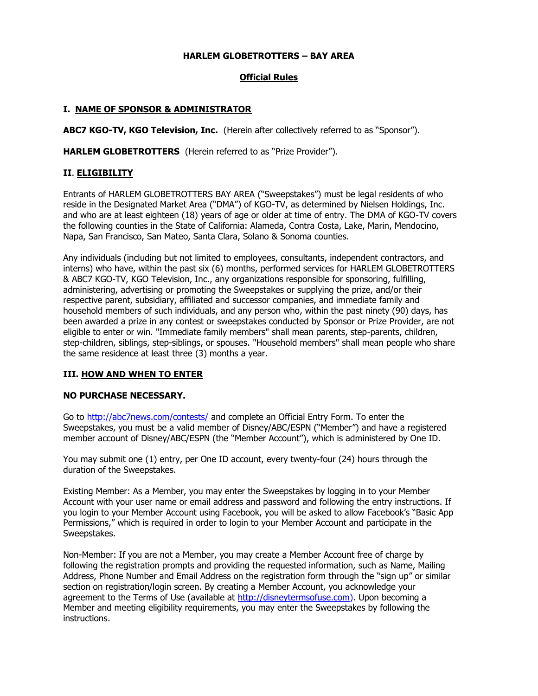### **HARLEM GLOBETROTTERS – BAY AREA**

# **Official Rules**

## **I. NAME OF SPONSOR & ADMINISTRATOR**

**ABC7 KGO-TV, KGO Television, Inc.** (Herein after collectively referred to as "Sponsor").

**HARLEM GLOBETROTTERS** (Herein referred to as "Prize Provider").

#### **II**. **ELIGIBILITY**

Entrants of HARLEM GLOBETROTTERS BAY AREA ("Sweepstakes") must be legal residents of who reside in the Designated Market Area ("DMA") of KGO-TV, as determined by Nielsen Holdings, Inc. and who are at least eighteen (18) years of age or older at time of entry. The DMA of KGO-TV covers the following counties in the State of California: Alameda, Contra Costa, Lake, Marin, Mendocino, Napa, San Francisco, San Mateo, Santa Clara, Solano & Sonoma counties.

Any individuals (including but not limited to employees, consultants, independent contractors, and interns) who have, within the past six (6) months, performed services for HARLEM GLOBETROTTERS & ABC7 KGO-TV, KGO Television, Inc., any organizations responsible for sponsoring, fulfilling, administering, advertising or promoting the Sweepstakes or supplying the prize, and/or their respective parent, subsidiary, affiliated and successor companies, and immediate family and household members of such individuals, and any person who, within the past ninety (90) days, has been awarded a prize in any contest or sweepstakes conducted by Sponsor or Prize Provider, are not eligible to enter or win. "Immediate family members" shall mean parents, step-parents, children, step-children, siblings, step-siblings, or spouses. "Household members" shall mean people who share the same residence at least three (3) months a year.

#### **III. HOW AND WHEN TO ENTER**

#### **NO PURCHASE NECESSARY.**

Go to<http://abc7news.com/contests/> and complete an Official Entry Form. To enter the Sweepstakes, you must be a valid member of Disney/ABC/ESPN ("Member") and have a registered member account of Disney/ABC/ESPN (the "Member Account"), which is administered by One ID.

You may submit one (1) entry, per One ID account, every twenty-four (24) hours through the duration of the Sweepstakes.

Existing Member: As a Member, you may enter the Sweepstakes by logging in to your Member Account with your user name or email address and password and following the entry instructions. If you login to your Member Account using Facebook, you will be asked to allow Facebook's "Basic App Permissions," which is required in order to login to your Member Account and participate in the Sweepstakes.

Non-Member: If you are not a Member, you may create a Member Account free of charge by following the registration prompts and providing the requested information, such as Name, Mailing Address, Phone Number and Email Address on the registration form through the "sign up" or similar section on registration/login screen. By creating a Member Account, you acknowledge your agreement to the Terms of Use (available at [http://disneytermsofuse.com\)](http://disneytermsofuse.com/). Upon becoming a Member and meeting eligibility requirements, you may enter the Sweepstakes by following the instructions.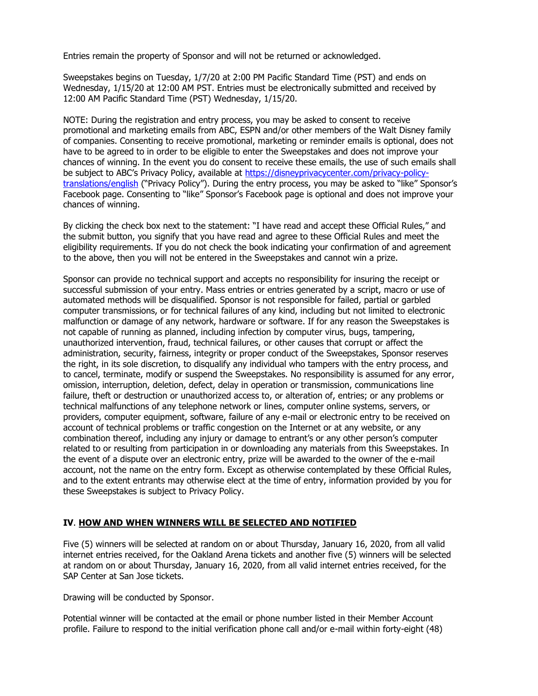Entries remain the property of Sponsor and will not be returned or acknowledged.

Sweepstakes begins on Tuesday, 1/7/20 at 2:00 PM Pacific Standard Time (PST) and ends on Wednesday, 1/15/20 at 12:00 AM PST. Entries must be electronically submitted and received by 12:00 AM Pacific Standard Time (PST) Wednesday, 1/15/20.

NOTE: During the registration and entry process, you may be asked to consent to receive promotional and marketing emails from ABC, ESPN and/or other members of the Walt Disney family of companies. Consenting to receive promotional, marketing or reminder emails is optional, does not have to be agreed to in order to be eligible to enter the Sweepstakes and does not improve your chances of winning. In the event you do consent to receive these emails, the use of such emails shall be subject to ABC's Privacy Policy, available at [https://disneyprivacycenter.com/privacy-policy](https://disneyprivacycenter.com/privacy-policy-translations/english)[translations/english](https://disneyprivacycenter.com/privacy-policy-translations/english) ("Privacy Policy"). During the entry process, you may be asked to "like" Sponsor's Facebook page. Consenting to "like" Sponsor's Facebook page is optional and does not improve your chances of winning.

By clicking the check box next to the statement: "I have read and accept these Official Rules," and the submit button, you signify that you have read and agree to these Official Rules and meet the eligibility requirements. If you do not check the book indicating your confirmation of and agreement to the above, then you will not be entered in the Sweepstakes and cannot win a prize.

Sponsor can provide no technical support and accepts no responsibility for insuring the receipt or successful submission of your entry. Mass entries or entries generated by a script, macro or use of automated methods will be disqualified. Sponsor is not responsible for failed, partial or garbled computer transmissions, or for technical failures of any kind, including but not limited to electronic malfunction or damage of any network, hardware or software. If for any reason the Sweepstakes is not capable of running as planned, including infection by computer virus, bugs, tampering, unauthorized intervention, fraud, technical failures, or other causes that corrupt or affect the administration, security, fairness, integrity or proper conduct of the Sweepstakes, Sponsor reserves the right, in its sole discretion, to disqualify any individual who tampers with the entry process, and to cancel, terminate, modify or suspend the Sweepstakes. No responsibility is assumed for any error, omission, interruption, deletion, defect, delay in operation or transmission, communications line failure, theft or destruction or unauthorized access to, or alteration of, entries; or any problems or technical malfunctions of any telephone network or lines, computer online systems, servers, or providers, computer equipment, software, failure of any e-mail or electronic entry to be received on account of technical problems or traffic congestion on the Internet or at any website, or any combination thereof, including any injury or damage to entrant's or any other person's computer related to or resulting from participation in or downloading any materials from this Sweepstakes. In the event of a dispute over an electronic entry, prize will be awarded to the owner of the e-mail account, not the name on the entry form. Except as otherwise contemplated by these Official Rules, and to the extent entrants may otherwise elect at the time of entry, information provided by you for these Sweepstakes is subject to Privacy Policy.

#### **IV**. **HOW AND WHEN WINNERS WILL BE SELECTED AND NOTIFIED**

Five (5) winners will be selected at random on or about Thursday, January 16, 2020, from all valid internet entries received, for the Oakland Arena tickets and another five (5) winners will be selected at random on or about Thursday, January 16, 2020, from all valid internet entries received, for the SAP Center at San Jose tickets.

Drawing will be conducted by Sponsor.

Potential winner will be contacted at the email or phone number listed in their Member Account profile. Failure to respond to the initial verification phone call and/or e-mail within forty-eight (48)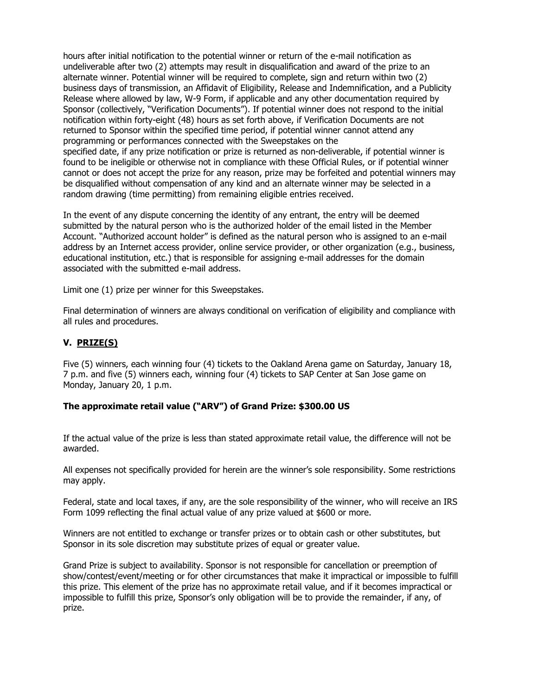hours after initial notification to the potential winner or return of the e-mail notification as undeliverable after two (2) attempts may result in disqualification and award of the prize to an alternate winner. Potential winner will be required to complete, sign and return within two (2) business days of transmission, an Affidavit of Eligibility, Release and Indemnification, and a Publicity Release where allowed by law, W-9 Form, if applicable and any other documentation required by Sponsor (collectively, "Verification Documents"). If potential winner does not respond to the initial notification within forty-eight (48) hours as set forth above, if Verification Documents are not returned to Sponsor within the specified time period, if potential winner cannot attend any programming or performances connected with the Sweepstakes on the specified date, if any prize notification or prize is returned as non-deliverable, if potential winner is found to be ineligible or otherwise not in compliance with these Official Rules, or if potential winner cannot or does not accept the prize for any reason, prize may be forfeited and potential winners may be disqualified without compensation of any kind and an alternate winner may be selected in a random drawing (time permitting) from remaining eligible entries received.

In the event of any dispute concerning the identity of any entrant, the entry will be deemed submitted by the natural person who is the authorized holder of the email listed in the Member Account. "Authorized account holder" is defined as the natural person who is assigned to an e-mail address by an Internet access provider, online service provider, or other organization (e.g., business, educational institution, etc.) that is responsible for assigning e-mail addresses for the domain associated with the submitted e-mail address.

Limit one (1) prize per winner for this Sweepstakes.

Final determination of winners are always conditional on verification of eligibility and compliance with all rules and procedures.

## **V. PRIZE(S)**

Five (5) winners, each winning four (4) tickets to the Oakland Arena game on Saturday, January 18, 7 p.m. and five (5) winners each, winning four (4) tickets to SAP Center at San Jose game on Monday, January 20, 1 p.m.

#### **The approximate retail value ("ARV") of Grand Prize: \$300.00 US**

If the actual value of the prize is less than stated approximate retail value, the difference will not be awarded.

All expenses not specifically provided for herein are the winner's sole responsibility. Some restrictions may apply.

Federal, state and local taxes, if any, are the sole responsibility of the winner, who will receive an IRS Form 1099 reflecting the final actual value of any prize valued at \$600 or more.

Winners are not entitled to exchange or transfer prizes or to obtain cash or other substitutes, but Sponsor in its sole discretion may substitute prizes of equal or greater value.

Grand Prize is subject to availability. Sponsor is not responsible for cancellation or preemption of show/contest/event/meeting or for other circumstances that make it impractical or impossible to fulfill this prize. This element of the prize has no approximate retail value, and if it becomes impractical or impossible to fulfill this prize, Sponsor's only obligation will be to provide the remainder, if any, of prize.